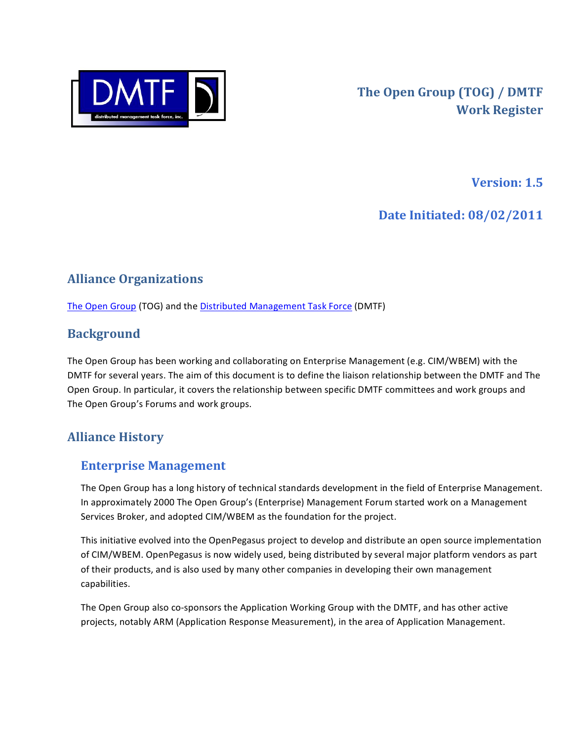

**Version: 1.5** 

Date Initiated: 08/02/2011

# **Alliance Organizations**

The Open Group (TOG) and the Distributed Management Task Force (DMTF)

### **Background**

The Open Group has been working and collaborating on Enterprise Management (e.g. CIM/WBEM) with the DMTF for several years. The aim of this document is to define the liaison relationship between the DMTF and The Open Group. In particular, it covers the relationship between specific DMTF committees and work groups and The Open Group's Forums and work groups.

## **Alliance History**

### **Enterprise Management**

The Open Group has a long history of technical standards development in the field of Enterprise Management. In approximately 2000 The Open Group's (Enterprise) Management Forum started work on a Management Services Broker, and adopted CIM/WBEM as the foundation for the project.

This initiative evolved into the OpenPegasus project to develop and distribute an open source implementation of CIM/WBEM. OpenPegasus is now widely used, being distributed by several major platform vendors as part of their products, and is also used by many other companies in developing their own management capabilities.

The Open Group also co-sponsors the Application Working Group with the DMTF, and has other active projects, notably ARM (Application Response Measurement), in the area of Application Management.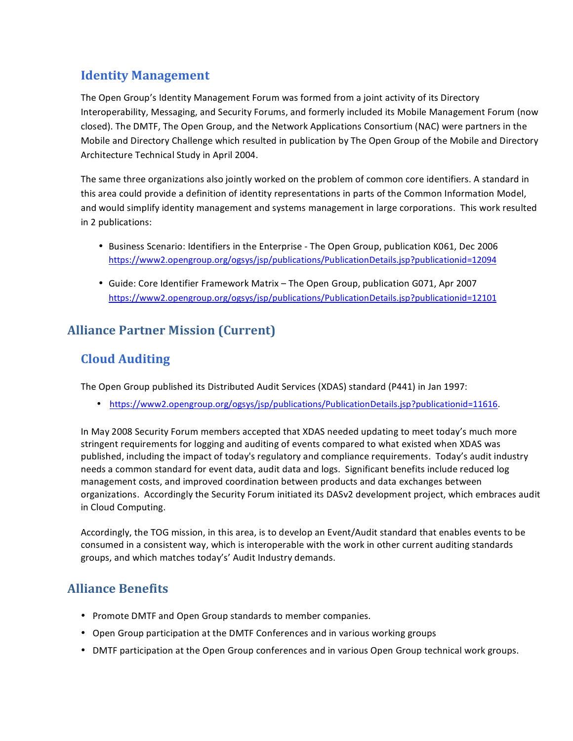### **Identity Management**

The Open Group's Identity Management Forum was formed from a joint activity of its Directory Interoperability, Messaging, and Security Forums, and formerly included its Mobile Management Forum (now closed). The DMTF, The Open Group, and the Network Applications Consortium (NAC) were partners in the Mobile and Directory Challenge which resulted in publication by The Open Group of the Mobile and Directory Architecture Technical Study in April 2004.

The same three organizations also jointly worked on the problem of common core identifiers. A standard in this area could provide a definition of identity representations in parts of the Common Information Model, and would simplify identity management and systems management in large corporations. This work resulted in 2 publications:

- . Business Scenario: Identifiers in the Enterprise The Open Group, publication K061, Dec 2006 https://www2.opengroup.org/ogsys/jsp/publications/PublicationDetails.jsp?publicationid=12094
- Guide: Core Identifier Framework Matrix The Open Group, publication G071, Apr 2007 https://www2.opengroup.org/ogsys/jsp/publications/PublicationDetails.jsp?publicationid=12101

## **Alliance Partner Mission (Current)**

## **Cloud Auditing**

The Open Group published its Distributed Audit Services (XDAS) standard (P441) in Jan 1997:

• https://www2.opengroup.org/ogsys/jsp/publications/PublicationDetails.jsp?publicationid=11616

In May 2008 Security Forum members accepted that XDAS needed updating to meet today's much more stringent requirements for logging and auditing of events compared to what existed when XDAS was published, including the impact of today's regulatory and compliance requirements. Today's audit industry needs a common standard for event data, audit data and logs. Significant benefits include reduced log management costs, and improved coordination between products and data exchanges between organizations. Accordingly the Security Forum initiated its DASv2 development project, which embraces audit in Cloud Computing.

Accordingly, the TOG mission, in this area, is to develop an Event/Audit standard that enables events to be consumed in a consistent way, which is interoperable with the work in other current auditing standards groups, and which matches today's' Audit Industry demands.

### **Alliance Benefits**

- Promote DMTF and Open Group standards to member companies.
- Open Group participation at the DMTF Conferences and in various working groups
- DMTF participation at the Open Group conferences and in various Open Group technical work groups.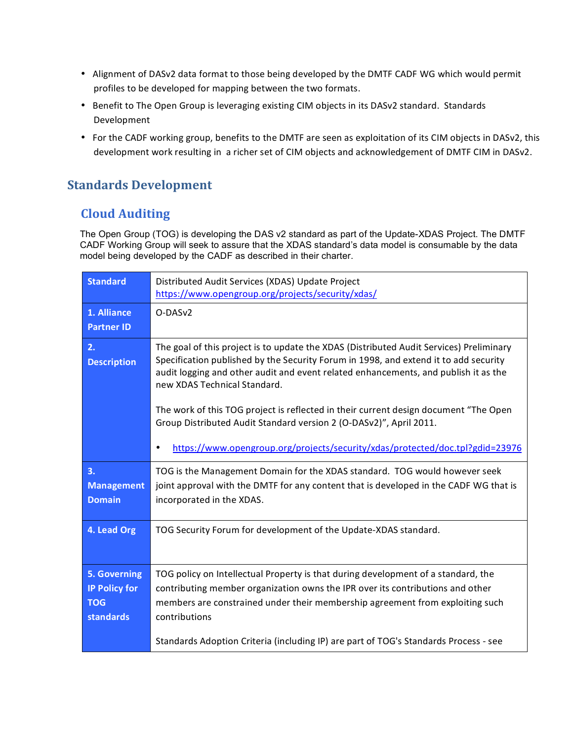- Alignment of DASv2 data format to those being developed by the DMTF CADF WG which would permit profiles to be developed for mapping between the two formats.
- Benefit to The Open Group is leveraging existing CIM objects in its DASv2 standard. Standards Development
- For the CADF working group, benefits to the DMTF are seen as exploitation of its CIM objects in DASv2, this development work resulting in a richer set of CIM objects and acknowledgement of DMTF CIM in DASv2.

### **Standards Development**

### **Cloud Auditing**

The Open Group (TOG) is developing the DAS v2 standard as part of the Update-XDAS Project. The DMTF CADF Working Group will seek to assure that the XDAS standard's data model is consumable by the data model being developed by the CADF as described in their charter.

| <b>Standard</b>                                                 | Distributed Audit Services (XDAS) Update Project<br>https://www.opengroup.org/projects/security/xdas/                                                                                                                                                                                                                                                                                                                                                                                                                                                 |  |
|-----------------------------------------------------------------|-------------------------------------------------------------------------------------------------------------------------------------------------------------------------------------------------------------------------------------------------------------------------------------------------------------------------------------------------------------------------------------------------------------------------------------------------------------------------------------------------------------------------------------------------------|--|
| 1. Alliance<br><b>Partner ID</b>                                | O-DASv2                                                                                                                                                                                                                                                                                                                                                                                                                                                                                                                                               |  |
| 2.<br><b>Description</b>                                        | The goal of this project is to update the XDAS (Distributed Audit Services) Preliminary<br>Specification published by the Security Forum in 1998, and extend it to add security<br>audit logging and other audit and event related enhancements, and publish it as the<br>new XDAS Technical Standard.<br>The work of this TOG project is reflected in their current design document "The Open<br>Group Distributed Audit Standard version 2 (O-DASv2)", April 2011.<br>https://www.opengroup.org/projects/security/xdas/protected/doc.tpl?gdid=23976 |  |
| 3.<br><b>Management</b><br><b>Domain</b>                        | TOG is the Management Domain for the XDAS standard. TOG would however seek<br>joint approval with the DMTF for any content that is developed in the CADF WG that is<br>incorporated in the XDAS.                                                                                                                                                                                                                                                                                                                                                      |  |
| 4. Lead Org                                                     | TOG Security Forum for development of the Update-XDAS standard.                                                                                                                                                                                                                                                                                                                                                                                                                                                                                       |  |
| 5. Governing<br><b>IP Policy for</b><br><b>TOG</b><br>standards | TOG policy on Intellectual Property is that during development of a standard, the<br>contributing member organization owns the IPR over its contributions and other<br>members are constrained under their membership agreement from exploiting such<br>contributions<br>Standards Adoption Criteria (including IP) are part of TOG's Standards Process - see                                                                                                                                                                                         |  |
|                                                                 |                                                                                                                                                                                                                                                                                                                                                                                                                                                                                                                                                       |  |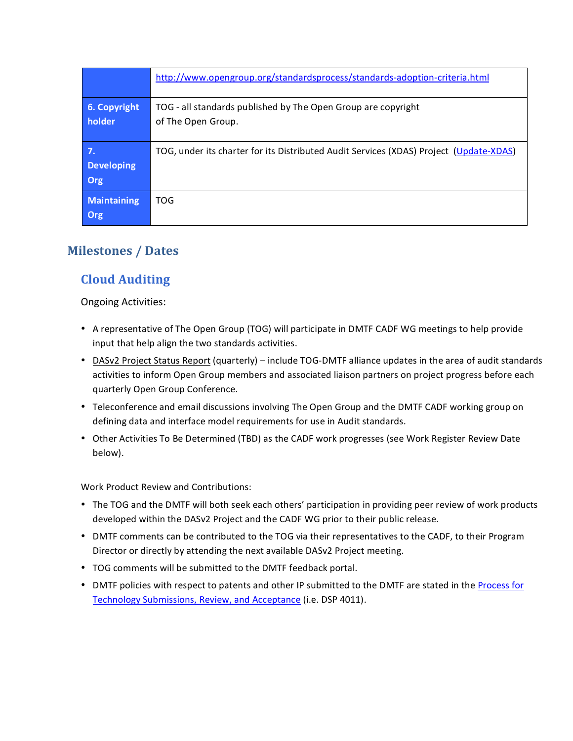|                                | http://www.opengroup.org/standardsprocess/standards-adoption-criteria.html             |
|--------------------------------|----------------------------------------------------------------------------------------|
| 6. Copyright<br>holder         | TOG - all standards published by The Open Group are copyright<br>of The Open Group.    |
| 7.<br><b>Developing</b><br>Org | TOG, under its charter for its Distributed Audit Services (XDAS) Project (Update-XDAS) |
| <b>Maintaining</b><br>Org      | <b>TOG</b>                                                                             |

## **Milestones / Dates**

## **Cloud Auditing**

**Ongoing Activities:** 

- A representative of The Open Group (TOG) will participate in DMTF CADF WG meetings to help provide input that help align the two standards activities.
- DASv2 Project Status Report (quarterly) include TOG-DMTF alliance updates in the area of audit standards activities to inform Open Group members and associated liaison partners on project progress before each quarterly Open Group Conference.
- Teleconference and email discussions involving The Open Group and the DMTF CADF working group on defining data and interface model requirements for use in Audit standards.
- Other Activities To Be Determined (TBD) as the CADF work progresses (see Work Register Review Date below).

**Work Product Review and Contributions:** 

- The TOG and the DMTF will both seek each others' participation in providing peer review of work products developed within the DASv2 Project and the CADF WG prior to their public release.
- DMTF comments can be contributed to the TOG via their representatives to the CADF, to their Program Director or directly by attending the next available DASv2 Project meeting.
- TOG comments will be submitted to the DMTF feedback portal.
- DMTF policies with respect to patents and other IP submitted to the DMTF are stated in the Process for Technology Submissions, Review, and Acceptance (i.e. DSP 4011).